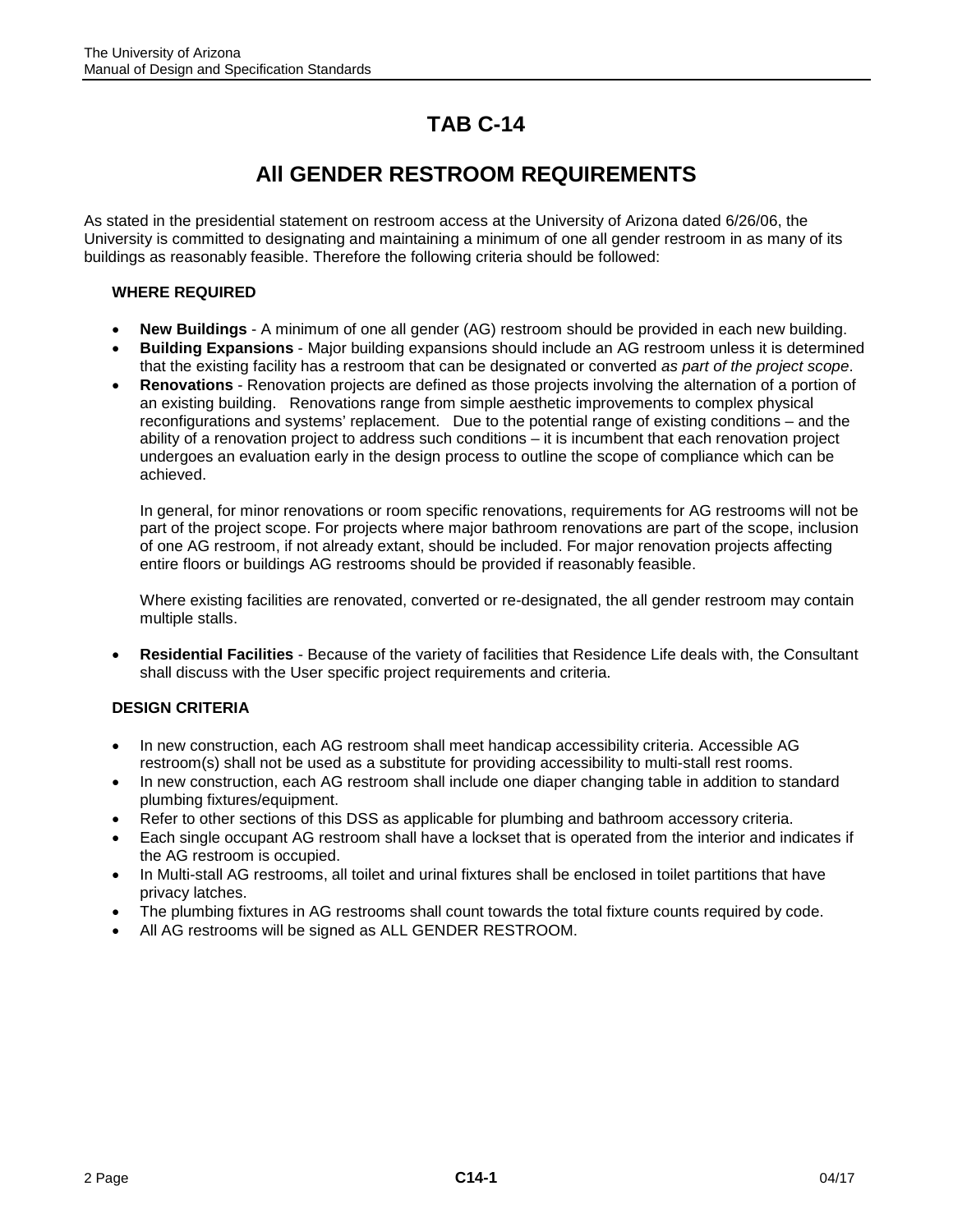## **TAB C-14**

## **All GENDER RESTROOM REQUIREMENTS**

As stated in the presidential statement on restroom access at the University of Arizona dated 6/26/06, the University is committed to designating and maintaining a minimum of one all gender restroom in as many of its buildings as reasonably feasible. Therefore the following criteria should be followed:

## **WHERE REQUIRED**

- **New Buildings** A minimum of one all gender (AG) restroom should be provided in each new building.
- **Building Expansions** Major building expansions should include an AG restroom unless it is determined that the existing facility has a restroom that can be designated or converted *as part of the project scope*.
- **Renovations** Renovation projects are defined as those projects involving the alternation of a portion of an existing building. Renovations range from simple aesthetic improvements to complex physical reconfigurations and systems' replacement. Due to the potential range of existing conditions – and the ability of a renovation project to address such conditions – it is incumbent that each renovation project undergoes an evaluation early in the design process to outline the scope of compliance which can be achieved.

In general, for minor renovations or room specific renovations, requirements for AG restrooms will not be part of the project scope. For projects where major bathroom renovations are part of the scope, inclusion of one AG restroom, if not already extant, should be included. For major renovation projects affecting entire floors or buildings AG restrooms should be provided if reasonably feasible.

Where existing facilities are renovated, converted or re-designated, the all gender restroom may contain multiple stalls.

• **Residential Facilities** - Because of the variety of facilities that Residence Life deals with, the Consultant shall discuss with the User specific project requirements and criteria.

## **DESIGN CRITERIA**

- In new construction, each AG restroom shall meet handicap accessibility criteria. Accessible AG restroom(s) shall not be used as a substitute for providing accessibility to multi-stall rest rooms.
- In new construction, each AG restroom shall include one diaper changing table in addition to standard plumbing fixtures/equipment.
- Refer to other sections of this DSS as applicable for plumbing and bathroom accessory criteria.
- Each single occupant AG restroom shall have a lockset that is operated from the interior and indicates if the AG restroom is occupied.
- In Multi-stall AG restrooms, all toilet and urinal fixtures shall be enclosed in toilet partitions that have privacy latches.
- The plumbing fixtures in AG restrooms shall count towards the total fixture counts required by code.
- All AG restrooms will be signed as ALL GENDER RESTROOM.